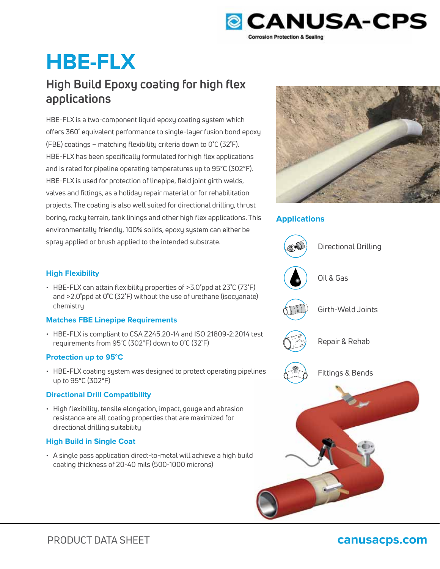

# **HBE-FLX**

## **High Build Epoxy coating for high flex applications**

HBE-FLX is a two-component liquid epoxy coating system which offers 360˚ equivalent performance to single-layer fusion bond epoxy (FBE) coatings – matching flexibility criteria down to 0˚C (32˚F). HBE-FLX has been specifically formulated for high flex applications and is rated for pipeline operating temperatures up to 95°C (302°F). HBE-FLX is used for protection of linepipe, field joint girth welds, valves and fittings, as a holiday repair material or for rehabilitation projects. The coating is also well suited for directional drilling, thrust boring, rocky terrain, tank linings and other high flex applications. This environmentally friendly, 100% solids, epoxy system can either be spray applied or brush applied to the intended substrate.



### **Applications**



### **High Flexibility**

• HBE-FLX can attain flexibility properties of >3.0˚ppd at 23˚C (73˚F) and >2.0˚ppd at 0˚C (32˚F) without the use of urethane (isocyanate) chemistry

### **Matches FBE Linepipe Requirements**

• HBE-FLX is compliant to CSA Z245.20-14 and ISO 21809-2:2014 test requirements from 95˚C (302°F) down to 0˚C (32˚F)

### **Protection up to 95°C**

• HBE-FLX coating system was designed to protect operating pipelines up to 95°C (302°F)

### **Directional Drill Compatibility**

• High flexibility, tensile elongation, impact, gouge and abrasion resistance are all coating properties that are maximized for directional drilling suitability

### **High Build in Single Coat**

• A single pass application direct-to-metal will achieve a high build coating thickness of 20-40 mils (500-1000 microns)